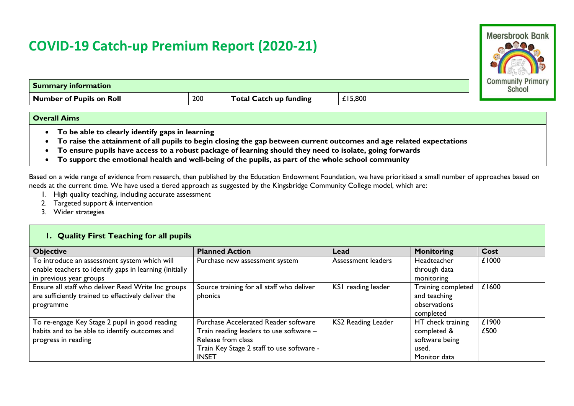## **COVID-19 Catch-up Premium Report (2020-21)**



| Summary information      |     |                               |         | Communi<br><b>Schoo</b> |
|--------------------------|-----|-------------------------------|---------|-------------------------|
| Number of Pupils on Roll | 200 | <b>Fotal Catch up funding</b> | £15,800 |                         |

## **Overall Aims**

- **To be able to clearly identify gaps in learning**
- **To raise the attainment of all pupils to begin closing the gap between current outcomes and age related expectations**
- **To ensure pupils have access to a robust package of learning should they need to isolate, going forwards**
- **To support the emotional health and well-being of the pupils, as part of the whole school community**

Based on a wide range of evidence from research, then published by the Education Endowment Foundation, we have prioritised a small number of approaches based on needs at the current time. We have used a tiered approach as suggested by the Kingsbridge Community College model, which are:

- 1. High quality teaching, including accurate assessment
- 2. Targeted support & intervention
- 3. Wider strategies

## **1. Quality First Teaching for all pupils**

| <b>Objective</b>                                        | <b>Planned Action</b>                       | Lead                      | <b>Monitoring</b>  | Cost  |
|---------------------------------------------------------|---------------------------------------------|---------------------------|--------------------|-------|
| To introduce an assessment system which will            | Purchase new assessment system              | Assessment leaders        | Headteacher        | £1000 |
| enable teachers to identify gaps in learning (initially |                                             |                           | through data       |       |
| in previous year groups                                 |                                             |                           | monitoring         |       |
| Ensure all staff who deliver Read Write Inc groups      | Source training for all staff who deliver   | KSI reading leader        | Training completed | £1600 |
| are sufficiently trained to effectively deliver the     | phonics                                     |                           | and teaching       |       |
| programme                                               |                                             |                           | observations       |       |
|                                                         |                                             |                           | completed          |       |
| To re-engage Key Stage 2 pupil in good reading          | <b>Purchase Accelerated Reader software</b> | <b>KS2 Reading Leader</b> | HT check training  | £1900 |
| habits and to be able to identify outcomes and          | Train reading leaders to use software -     |                           | completed &        | £500  |
| progress in reading                                     | Release from class                          |                           | software being     |       |
|                                                         | Train Key Stage 2 staff to use software -   |                           | used.              |       |
|                                                         | <b>INSET</b>                                |                           | Monitor data       |       |